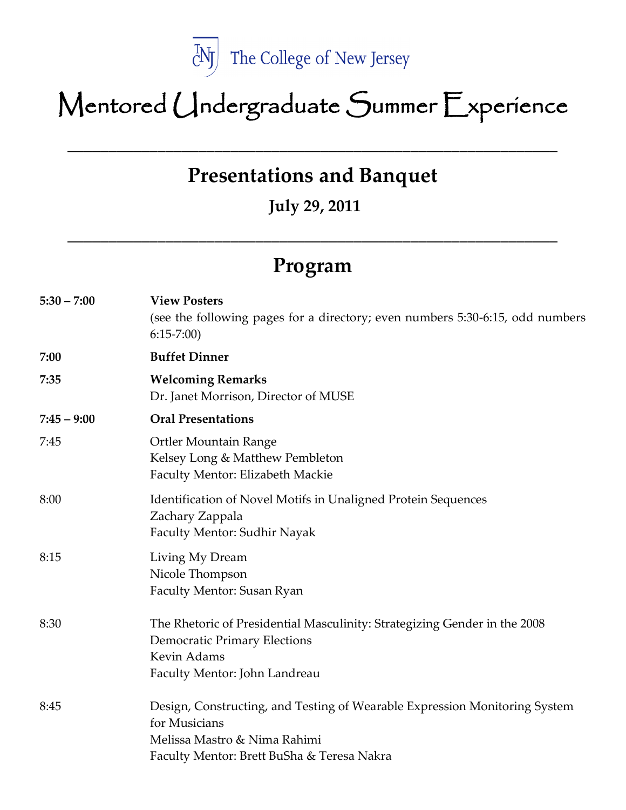

# Mentored Undergraduate Summer Experience

**Presentations and Banquet**

\_\_\_\_\_\_\_\_\_\_\_\_\_\_\_\_\_\_\_\_\_\_\_\_\_\_\_\_\_\_\_\_\_\_\_\_\_\_\_\_\_\_\_\_\_\_\_\_\_\_\_\_\_\_\_\_\_\_\_\_

**July 29, 2011** 

## **Program**

**\_\_\_\_\_\_\_\_\_\_\_\_\_\_\_\_\_\_\_\_\_\_\_\_\_\_\_\_\_\_\_\_\_\_\_\_\_\_\_\_\_\_\_\_\_\_\_\_\_\_\_\_\_\_\_\_\_\_\_\_**

| $5:30 - 7:00$ | <b>View Posters</b><br>(see the following pages for a directory; even numbers 5:30-6:15, odd numbers<br>$6:15-7:00$                                                       |
|---------------|---------------------------------------------------------------------------------------------------------------------------------------------------------------------------|
| 7:00          | <b>Buffet Dinner</b>                                                                                                                                                      |
| 7:35          | <b>Welcoming Remarks</b><br>Dr. Janet Morrison, Director of MUSE                                                                                                          |
| $7:45 - 9:00$ | <b>Oral Presentations</b>                                                                                                                                                 |
| 7:45          | <b>Ortler Mountain Range</b><br>Kelsey Long & Matthew Pembleton<br>Faculty Mentor: Elizabeth Mackie                                                                       |
| 8:00          | Identification of Novel Motifs in Unaligned Protein Sequences<br>Zachary Zappala<br>Faculty Mentor: Sudhir Nayak                                                          |
| 8:15          | Living My Dream<br>Nicole Thompson<br>Faculty Mentor: Susan Ryan                                                                                                          |
| 8:30          | The Rhetoric of Presidential Masculinity: Strategizing Gender in the 2008<br><b>Democratic Primary Elections</b><br>Kevin Adams<br>Faculty Mentor: John Landreau          |
| 8:45          | Design, Constructing, and Testing of Wearable Expression Monitoring System<br>for Musicians<br>Melissa Mastro & Nima Rahimi<br>Faculty Mentor: Brett BuSha & Teresa Nakra |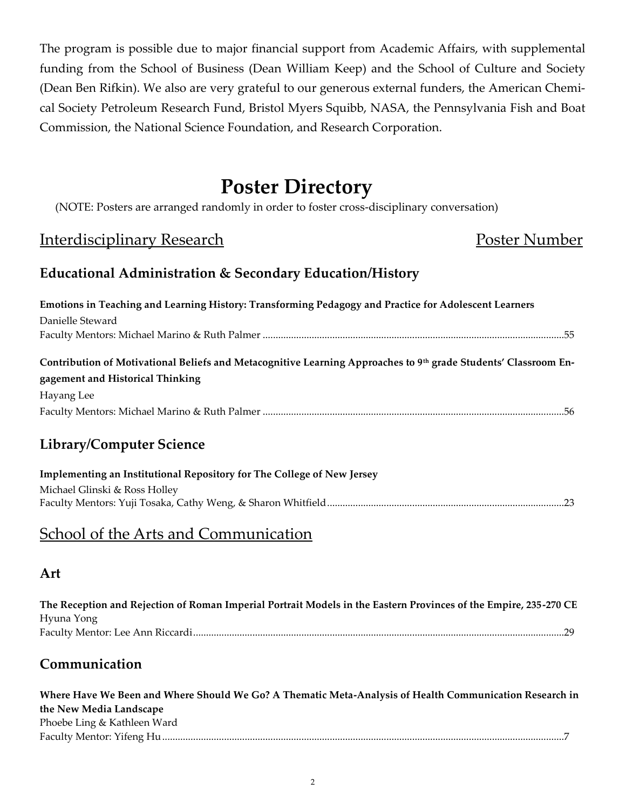The program is possible due to major financial support from Academic Affairs, with supplemental funding from the School of Business (Dean William Keep) and the School of Culture and Society (Dean Ben Rifkin). We also are very grateful to our generous external funders, the American Chemical Society Petroleum Research Fund, Bristol Myers Squibb, NASA, the Pennsylvania Fish and Boat Commission, the National Science Foundation, and Research Corporation.

## **Poster Directory**

(NOTE: Posters are arranged randomly in order to foster cross-disciplinary conversation)

## Interdisciplinary Research **Poster Number** Poster Number

#### **Educational Administration & Secondary Education/History**

| Emotions in Teaching and Learning History: Transforming Pedagogy and Practice for Adolescent Learners           |  |
|-----------------------------------------------------------------------------------------------------------------|--|
| Danielle Steward                                                                                                |  |
|                                                                                                                 |  |
| Contribution of Motivational Beliefs and Metacognitive Learning Approaches to 9th grade Students' Classroom En- |  |
| gagement and Historical Thinking                                                                                |  |
| Hayang Lee                                                                                                      |  |
|                                                                                                                 |  |
| $\mathbf{r}$ . The state $\mathbf{r}$<br>$\sqrt{2}$ $\sqrt{2}$                                                  |  |

### **Library/Computer Science**

| Implementing an Institutional Repository for The College of New Jersey |
|------------------------------------------------------------------------|
| Michael Glinski & Ross Holley                                          |
|                                                                        |

## School of the Arts and Communication

#### **Art**

| The Reception and Rejection of Roman Imperial Portrait Models in the Eastern Provinces of the Empire, 235-270 CE |
|------------------------------------------------------------------------------------------------------------------|
| Hyuna Yong                                                                                                       |
|                                                                                                                  |

## **Communication**

| Where Have We Been and Where Should We Go? A Thematic Meta-Analysis of Health Communication Research in |
|---------------------------------------------------------------------------------------------------------|
| the New Media Landscape                                                                                 |
| Phoebe Ling & Kathleen Ward                                                                             |
|                                                                                                         |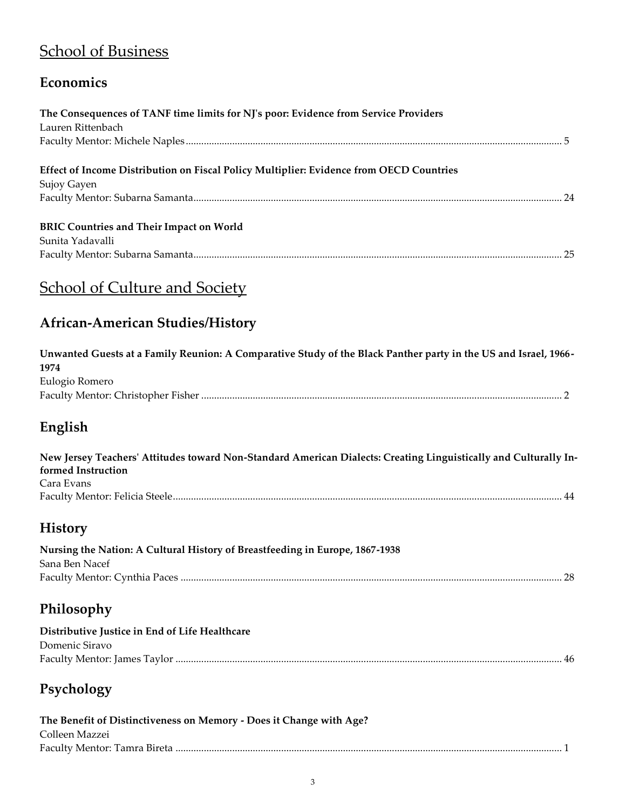## **School of Business**

## **Economics**

| The Consequences of TANF time limits for NJ's poor: Evidence from Service Providers                                     |  |
|-------------------------------------------------------------------------------------------------------------------------|--|
| Lauren Rittenbach                                                                                                       |  |
|                                                                                                                         |  |
| Effect of Income Distribution on Fiscal Policy Multiplier: Evidence from OECD Countries                                 |  |
| Sujoy Gayen                                                                                                             |  |
|                                                                                                                         |  |
| <b>BRIC Countries and Their Impact on World</b>                                                                         |  |
| Sunita Yadavalli                                                                                                        |  |
|                                                                                                                         |  |
| <b>School of Culture and Society</b>                                                                                    |  |
| <b>African-American Studies/History</b>                                                                                 |  |
| Unwanted Guests at a Family Reunion: A Comparative Study of the Black Panther party in the US and Israel, 1966-<br>1974 |  |
| Eulogio Romero                                                                                                          |  |
|                                                                                                                         |  |
| English                                                                                                                 |  |
| New Jersey Teachers' Attitudes toward Non-Standard American Dialects: Creating Linguistically and Culturally In-        |  |
| formed Instruction                                                                                                      |  |
| Cara Evans                                                                                                              |  |
|                                                                                                                         |  |
| <b>History</b>                                                                                                          |  |
| Nursing the Nation: A Cultural History of Breastfeeding in Europe, 1867-1938                                            |  |
| Sana Ben Nacef                                                                                                          |  |
|                                                                                                                         |  |
| Philosophy                                                                                                              |  |
| Distributive Justice in End of Life Healthcare                                                                          |  |
| Domenic Siravo                                                                                                          |  |
|                                                                                                                         |  |
| Psychology                                                                                                              |  |
| The Benefit of Distinctiveness on Memory - Does it Change with Age?                                                     |  |
| Colleen Mazzei                                                                                                          |  |
|                                                                                                                         |  |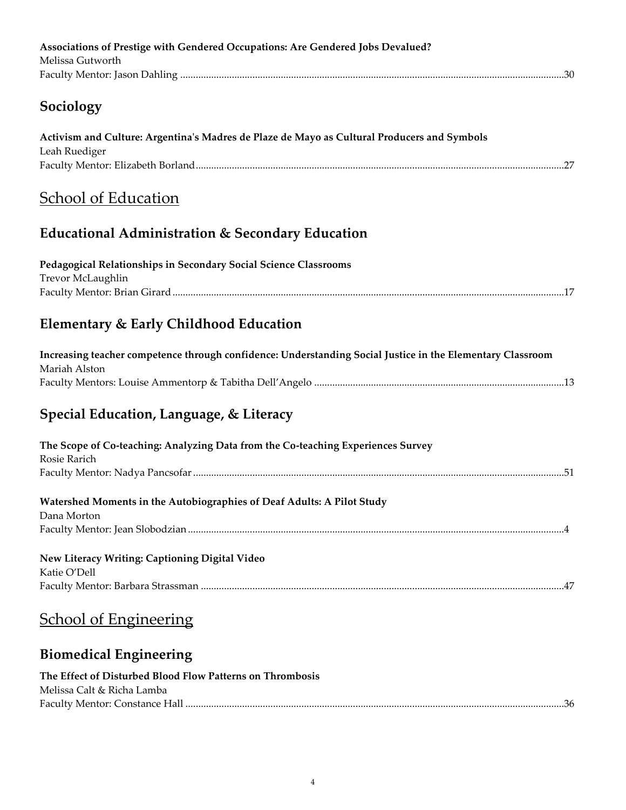| Associations of Prestige with Gendered Occupations: Are Gendered Jobs Devalued?<br>Melissa Gutworth                         |
|-----------------------------------------------------------------------------------------------------------------------------|
| Sociology                                                                                                                   |
| Activism and Culture: Argentina's Madres de Plaze de Mayo as Cultural Producers and Symbols<br>Leah Ruediger                |
| <b>School of Education</b>                                                                                                  |
| <b>Educational Administration &amp; Secondary Education</b>                                                                 |
| Pedagogical Relationships in Secondary Social Science Classrooms<br>Trevor McLaughlin                                       |
| Elementary & Early Childhood Education                                                                                      |
| Increasing teacher competence through confidence: Understanding Social Justice in the Elementary Classroom<br>Mariah Alston |
| Special Education, Language, & Literacy                                                                                     |
| The Scope of Co-teaching: Analyzing Data from the Co-teaching Experiences Survey<br>Rosie Rarich                            |
| Watershed Moments in the Autobiographies of Deaf Adults: A Pilot Study<br>Dana Morton                                       |
| New Literacy Writing: Captioning Digital Video<br>Katie O'Dell                                                              |
| <b>School of Engineering</b>                                                                                                |
| <b>Biomedical Engineering</b>                                                                                               |
| The Effect of Disturbed Blood Flow Patterns on Thrombosis<br>Melissa Calt & Richa Lamba                                     |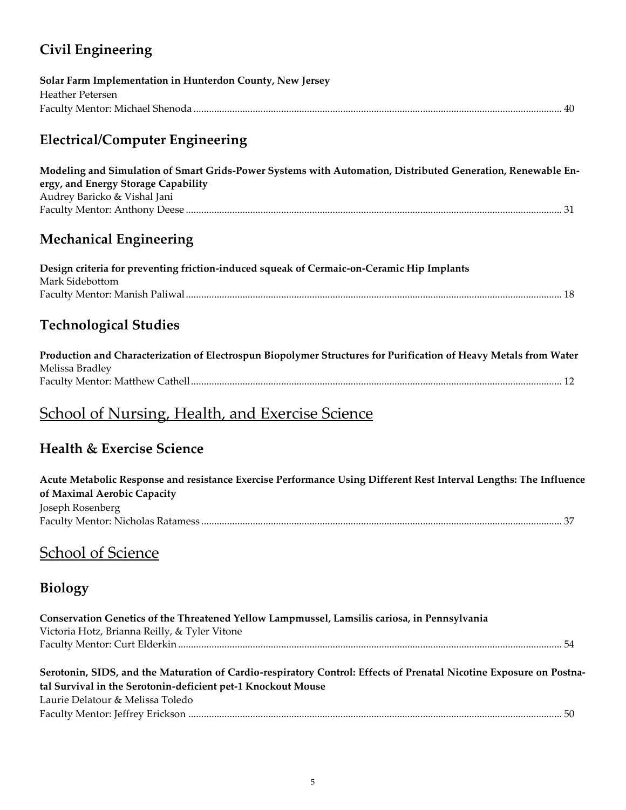## **Civil Engineering**

| Solar Farm Implementation in Hunterdon County, New Jersey |
|-----------------------------------------------------------|
| Heather Petersen                                          |
|                                                           |

## **Electrical/Computer Engineering**

| Modeling and Simulation of Smart Grids-Power Systems with Automation, Distributed Generation, Renewable En- |
|-------------------------------------------------------------------------------------------------------------|
| ergy, and Energy Storage Capability                                                                         |
| Audrey Baricko & Vishal Jani                                                                                |
|                                                                                                             |

## **Mechanical Engineering**

| Design criteria for preventing friction-induced squeak of Cermaic-on-Ceramic Hip Implants |
|-------------------------------------------------------------------------------------------|
| Mark Sidebottom                                                                           |
|                                                                                           |

## **Technological Studies**

| Production and Characterization of Electrospun Biopolymer Structures for Purification of Heavy Metals from Water |
|------------------------------------------------------------------------------------------------------------------|
| Melissa Bradley                                                                                                  |
|                                                                                                                  |

## School of Nursing, Health, and Exercise Science

## **Health & Exercise Science**

| Acute Metabolic Response and resistance Exercise Performance Using Different Rest Interval Lengths: The Influence |  |
|-------------------------------------------------------------------------------------------------------------------|--|
| of Maximal Aerobic Capacity                                                                                       |  |
| Joseph Rosenberg                                                                                                  |  |
|                                                                                                                   |  |
|                                                                                                                   |  |

## School of Science

## **Biology**

| Conservation Genetics of the Threatened Yellow Lampmussel, Lamsilis cariosa, in Pennsylvania                        |  |
|---------------------------------------------------------------------------------------------------------------------|--|
| Victoria Hotz, Brianna Reilly, & Tyler Vitone                                                                       |  |
|                                                                                                                     |  |
| Serotonin, SIDS, and the Maturation of Cardio-respiratory Control: Effects of Prenatal Nicotine Exposure on Postna- |  |
| tal Survival in the Serotonin-deficient pet-1 Knockout Mouse<br>Laurie Delatour & Melissa Toledo                    |  |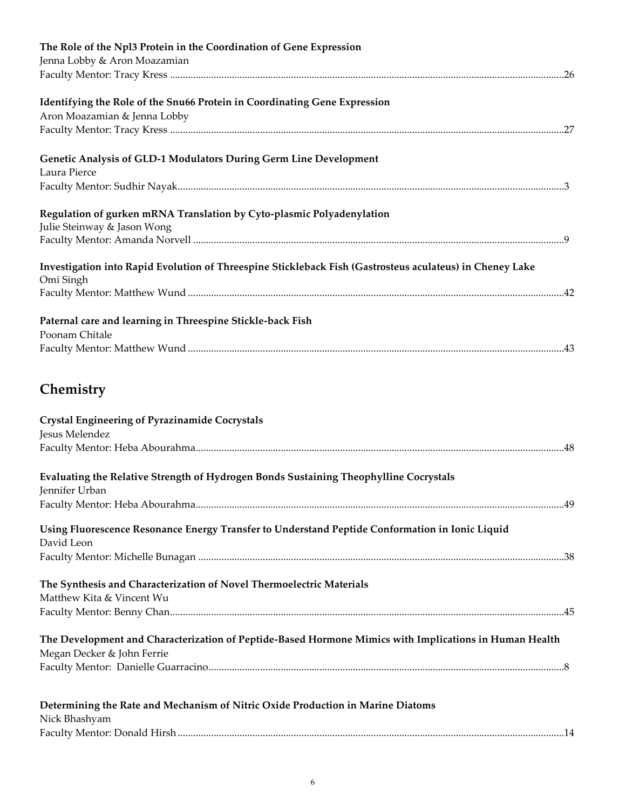| The Role of the Npl3 Protein in the Coordination of Gene Expression                                      |  |
|----------------------------------------------------------------------------------------------------------|--|
| Jenna Lobby & Aron Moazamian                                                                             |  |
|                                                                                                          |  |
| Identifying the Role of the Snu66 Protein in Coordinating Gene Expression                                |  |
| Aron Moazamian & Jenna Lobby                                                                             |  |
|                                                                                                          |  |
|                                                                                                          |  |
| Genetic Analysis of GLD-1 Modulators During Germ Line Development                                        |  |
| Laura Pierce                                                                                             |  |
|                                                                                                          |  |
|                                                                                                          |  |
| Regulation of gurken mRNA Translation by Cyto-plasmic Polyadenylation                                    |  |
| Julie Steinway & Jason Wong                                                                              |  |
|                                                                                                          |  |
| Investigation into Rapid Evolution of Threespine Stickleback Fish (Gastrosteus aculateus) in Cheney Lake |  |
| Omi Singh                                                                                                |  |
|                                                                                                          |  |
|                                                                                                          |  |
| Paternal care and learning in Threespine Stickle-back Fish                                               |  |
| Poonam Chitale                                                                                           |  |
|                                                                                                          |  |
| Chemistry                                                                                                |  |
|                                                                                                          |  |
| <b>Crystal Engineering of Pyrazinamide Cocrystals</b>                                                    |  |
| Jesus Melendez                                                                                           |  |
|                                                                                                          |  |
| Evaluating the Relative Strength of Hydrogen Bonds Sustaining Theophylline Cocrystals                    |  |
| Jennifer Urban                                                                                           |  |
|                                                                                                          |  |
|                                                                                                          |  |
| Using Fluorescence Resonance Energy Transfer to Understand Peptide Conformation in Ionic Liquid          |  |
| David Leon                                                                                               |  |
|                                                                                                          |  |
| The Synthesis and Characterization of Novel Thermoelectric Materials                                     |  |
| Matthew Kita & Vincent Wu                                                                                |  |
|                                                                                                          |  |
|                                                                                                          |  |
| The Development and Characterization of Peptide-Based Hormone Mimics with Implications in Human Health   |  |
| Megan Decker & John Ferrie                                                                               |  |
|                                                                                                          |  |
|                                                                                                          |  |
| Determining the Rate and Mechanism of Nitric Oxide Production in Marine Diatoms                          |  |
| Nick Bhashyam                                                                                            |  |
|                                                                                                          |  |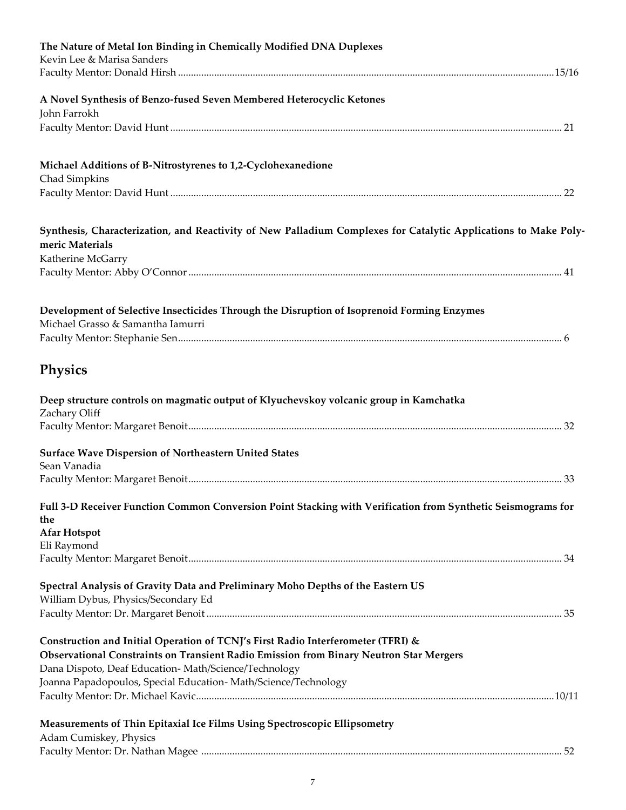| The Nature of Metal Ion Binding in Chemically Modified DNA Duplexes<br>Kevin Lee & Marisa Sanders                                  |  |
|------------------------------------------------------------------------------------------------------------------------------------|--|
|                                                                                                                                    |  |
|                                                                                                                                    |  |
| A Novel Synthesis of Benzo-fused Seven Membered Heterocyclic Ketones<br>John Farrokh                                               |  |
|                                                                                                                                    |  |
|                                                                                                                                    |  |
| Michael Additions of B-Nitrostyrenes to 1,2-Cyclohexanedione                                                                       |  |
| Chad Simpkins                                                                                                                      |  |
|                                                                                                                                    |  |
|                                                                                                                                    |  |
| Synthesis, Characterization, and Reactivity of New Palladium Complexes for Catalytic Applications to Make Poly-<br>meric Materials |  |
| Katherine McGarry                                                                                                                  |  |
|                                                                                                                                    |  |
|                                                                                                                                    |  |
| Development of Selective Insecticides Through the Disruption of Isoprenoid Forming Enzymes                                         |  |
| Michael Grasso & Samantha Iamurri                                                                                                  |  |
|                                                                                                                                    |  |
| Physics                                                                                                                            |  |
|                                                                                                                                    |  |
| Deep structure controls on magmatic output of Klyuchevskoy volcanic group in Kamchatka                                             |  |
| Zachary Oliff                                                                                                                      |  |
|                                                                                                                                    |  |
| Surface Wave Dispersion of Northeastern United States                                                                              |  |
| Sean Vanadia                                                                                                                       |  |
|                                                                                                                                    |  |
| Full 3-D Receiver Function Common Conversion Point Stacking with Verification from Synthetic Seismograms for                       |  |
| the                                                                                                                                |  |
| <b>Afar Hotspot</b>                                                                                                                |  |
| Eli Raymond                                                                                                                        |  |
|                                                                                                                                    |  |
| Spectral Analysis of Gravity Data and Preliminary Moho Depths of the Eastern US                                                    |  |
| William Dybus, Physics/Secondary Ed                                                                                                |  |
|                                                                                                                                    |  |
| Construction and Initial Operation of TCNJ's First Radio Interferometer (TFRI) &                                                   |  |
| Observational Constraints on Transient Radio Emission from Binary Neutron Star Mergers                                             |  |
| Dana Dispoto, Deaf Education-Math/Science/Technology                                                                               |  |
| Joanna Papadopoulos, Special Education-Math/Science/Technology                                                                     |  |
|                                                                                                                                    |  |
| Measurements of Thin Epitaxial Ice Films Using Spectroscopic Ellipsometry                                                          |  |
| Adam Cumiskey, Physics                                                                                                             |  |
|                                                                                                                                    |  |